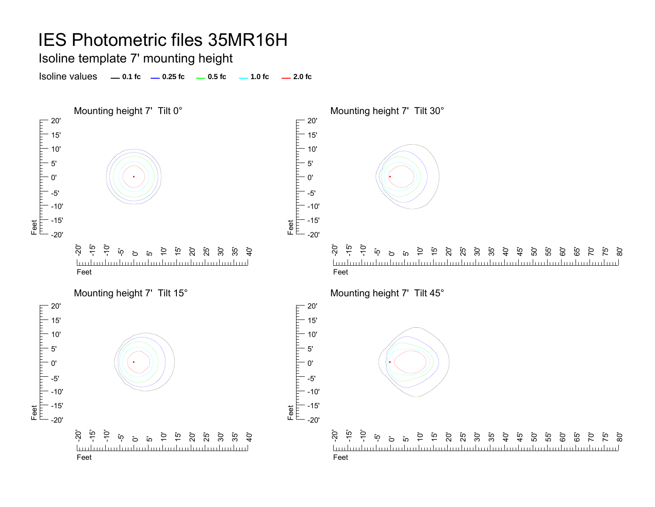Isoline template 7' mounting height

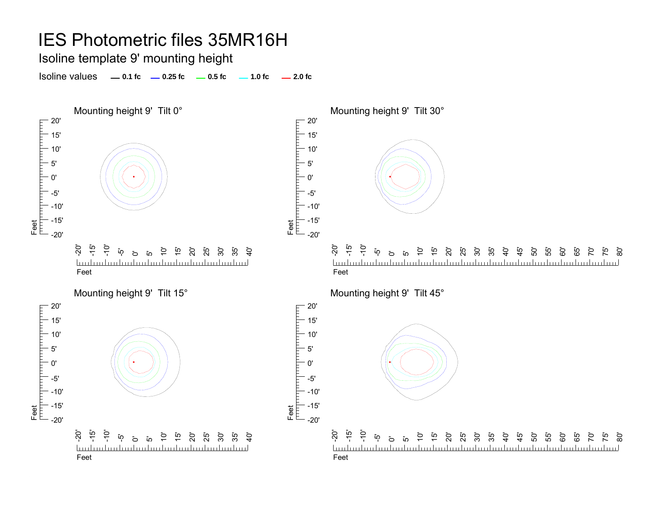Isoline template 9' mounting height

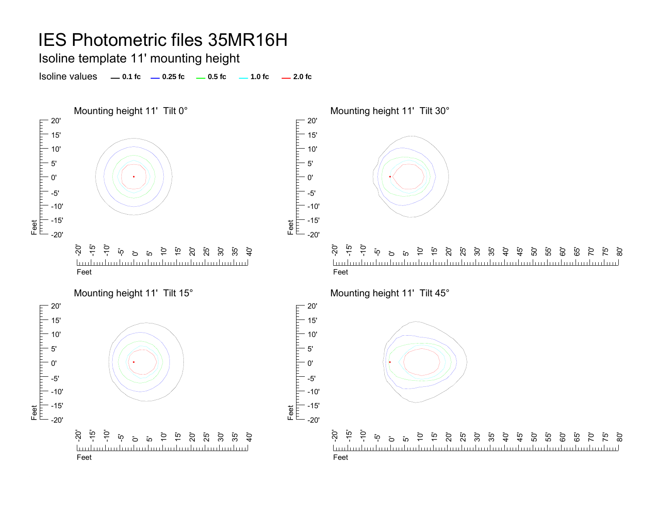Isoline template 11' mounting height

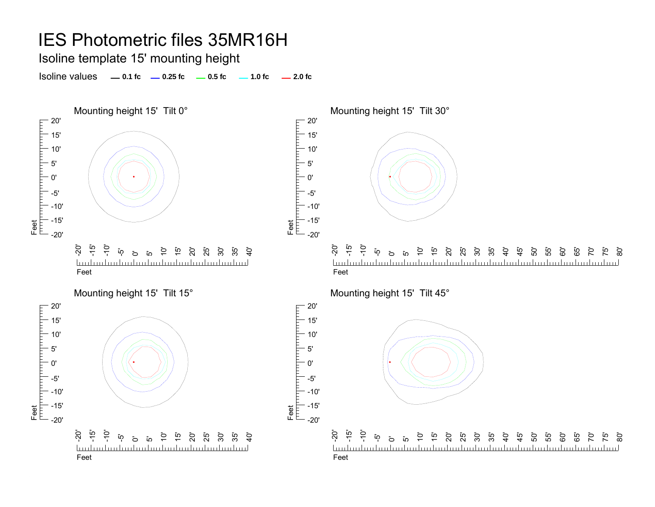Isoline template 15' mounting height

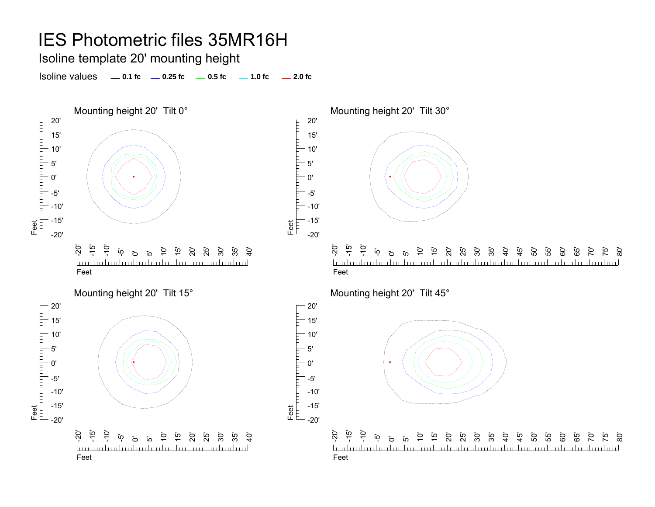Isoline template 20' mounting height

Isoline values **0.1 fc 0.25 fc 0.5 fc 1.0 fc 2.0 fc**





-20' -15'  $\ddot{5}$ ດ**ັ ب**آ  $\overline{a}$ ي<br>10 p ន៍ ដូ ដូ ដូ<br>ន 5<br>កំ<br>4 50' 55' 60' 65' ි 70' 75' mlundunlunlunlunlunlunlunlunlunlunlunlunl <u>hudmdunlan</u> Feet

Feet<br>|<sup>|||||</sup>|<sup>||||||</sup>|||

Feet<br>|<sup>|||||</sup>|<sup>||||||||||</sup>|||

гранита

20' 15' 10' 5' 0'-5'-10' -15'  $-20'$ 

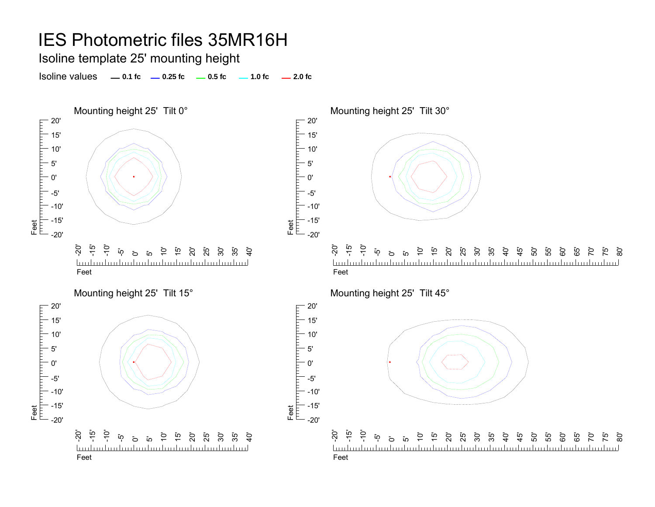Isoline template 25' mounting height

Isoline values **0.1 fc 0.25 fc 0.5 fc 1.0 fc 2.0 fc**







Feet<br>|<sup>|||||</sup>|<sup>||||||</sup>|||

Feet<br>|<sup>|||||</sup>|<sup>||||||||||</sup>|||

20'

5' 0'

20' 15' 10' 5'0'

-5'



75' ි<br>80